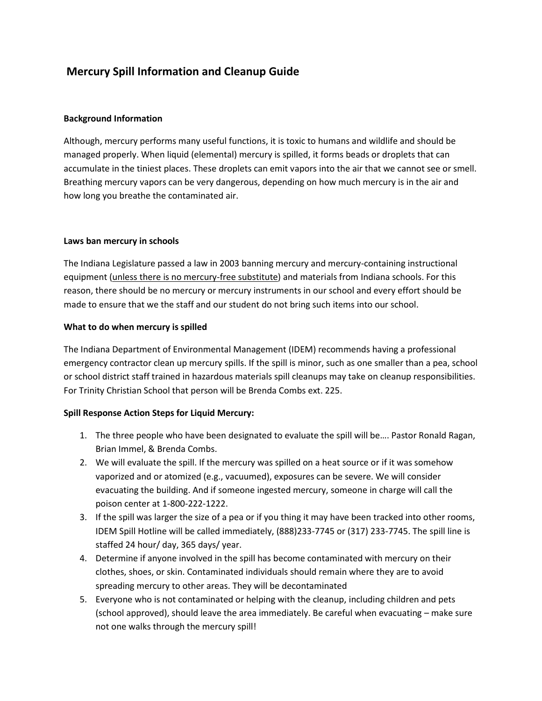# **Mercury Spill Information and Cleanup Guide**

## **Background Information**

Although, mercury performs many useful functions, it is toxic to humans and wildlife and should be managed properly. When liquid (elemental) mercury is spilled, it forms beads or droplets that can accumulate in the tiniest places. These droplets can emit vapors into the air that we cannot see or smell. Breathing mercury vapors can be very dangerous, depending on how much mercury is in the air and how long you breathe the contaminated air.

### **Laws ban mercury in schools**

The Indiana Legislature passed a law in 2003 banning mercury and mercury-containing instructional equipment (unless there is no mercury-free substitute) and materials from Indiana schools. For this reason, there should be no mercury or mercury instruments in our school and every effort should be made to ensure that we the staff and our student do not bring such items into our school.

### **What to do when mercury is spilled**

The Indiana Department of Environmental Management (IDEM) recommends having a professional emergency contractor clean up mercury spills. If the spill is minor, such as one smaller than a pea, school or school district staff trained in hazardous materials spill cleanups may take on cleanup responsibilities. For Trinity Christian School that person will be Brenda Combs ext. 225.

# **Spill Response Action Steps for Liquid Mercury:**

- 1. The three people who have been designated to evaluate the spill will be…. Pastor Ronald Ragan, Brian Immel, & Brenda Combs.
- 2. We will evaluate the spill. If the mercury was spilled on a heat source or if it was somehow vaporized and or atomized (e.g., vacuumed), exposures can be severe. We will consider evacuating the building. And if someone ingested mercury, someone in charge will call the poison center at 1-800-222-1222.
- 3. If the spill was larger the size of a pea or if you thing it may have been tracked into other rooms, IDEM Spill Hotline will be called immediately, (888)233-7745 or (317) 233-7745. The spill line is staffed 24 hour/ day, 365 days/ year.
- 4. Determine if anyone involved in the spill has become contaminated with mercury on their clothes, shoes, or skin. Contaminated individuals should remain where they are to avoid spreading mercury to other areas. They will be decontaminated
- 5. Everyone who is not contaminated or helping with the cleanup, including children and pets (school approved), should leave the area immediately. Be careful when evacuating – make sure not one walks through the mercury spill!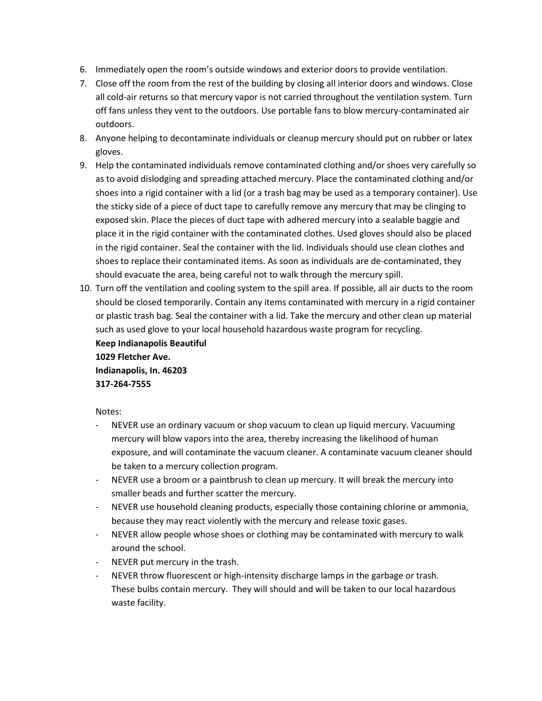- 6. Immediately open the room's outside windows and exterior doors to provide ventilation.
- 7. Close off the room from the rest of the building by closing all interior doors and windows. Close all cold-air returns so that mercury vapor is not carried throughout the ventilation system. Turn off fans unless they vent to the outdoors. Use portable fans to blow mercury-contaminated air outdoors.
- 8. Anyone helping to decontaminate individuals or cleanup mercury should put on rubber or latex gloves.
- 9. Help the contaminated individuals remove contaminated clothing and/or shoes very carefully so as to avoid dislodging and spreading attached mercury. Place the contaminated clothing and/or shoes into a rigid container with a lid (or a trash bag may be used as a temporary container). Use the sticky side of a piece of duct tape to carefully remove any mercury that may be clinging to exposed skin. Place the pieces of duct tape with adhered mercury into a sealable baggie and place it in the rigid container with the contaminated clothes. Used gloves should also be placed in the rigid container. Seal the container with the lid. Individuals should use clean clothes and shoes to replace their contaminated items. As soon as individuals are de-contaminated, they should evacuate the area, being careful not to walk through the mercury spill.
- 10. Turn off the ventilation and cooling system to the spill area. If possible, all air ducts to the room should be closed temporarily. Contain any items contaminated with mercury in a rigid container or plastic trash bag. Seal the container with a lid. Take the mercury and other clean up material such as used glove to your local household hazardous waste program for recycling.

**Keep Indianapolis Beautiful 1029 Fletcher Ave. Indianapolis, In. 46203 317-264-7555**

Notes:

- NEVER use an ordinary vacuum or shop vacuum to clean up liquid mercury. Vacuuming mercury will blow vapors into the area, thereby increasing the likelihood of human exposure, and will contaminate the vacuum cleaner. A contaminate vacuum cleaner should be taken to a mercury collection program.
- NEVER use a broom or a paintbrush to clean up mercury. It will break the mercury into smaller beads and further scatter the mercury.
- NEVER use household cleaning products, especially those containing chlorine or ammonia, because they may react violently with the mercury and release toxic gases.
- NEVER allow people whose shoes or clothing may be contaminated with mercury to walk around the school.
- NEVER put mercury in the trash.
- NEVER throw fluorescent or high-intensity discharge lamps in the garbage or trash. These bulbs contain mercury. They will should and will be taken to our local hazardous waste facility.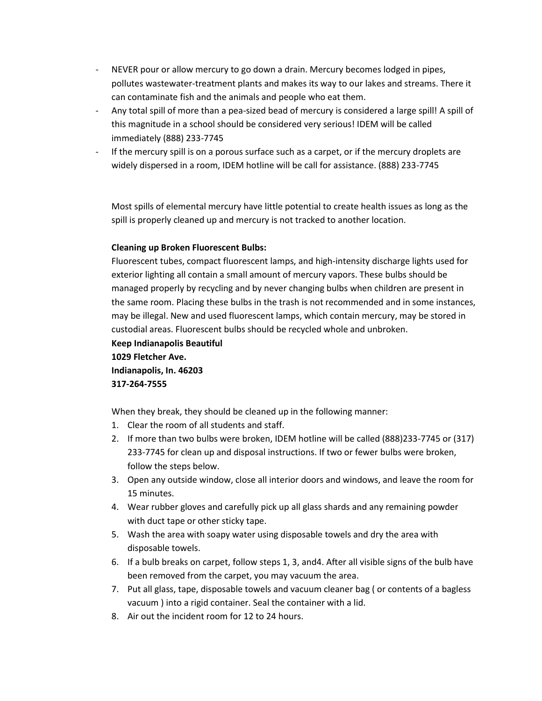- NEVER pour or allow mercury to go down a drain. Mercury becomes lodged in pipes, pollutes wastewater-treatment plants and makes its way to our lakes and streams. There it can contaminate fish and the animals and people who eat them.
- Any total spill of more than a pea-sized bead of mercury is considered a large spill! A spill of this magnitude in a school should be considered very serious! IDEM will be called immediately (888) 233-7745
- If the mercury spill is on a porous surface such as a carpet, or if the mercury droplets are widely dispersed in a room, IDEM hotline will be call for assistance. (888) 233-7745

Most spills of elemental mercury have little potential to create health issues as long as the spill is properly cleaned up and mercury is not tracked to another location.

## **Cleaning up Broken Fluorescent Bulbs:**

Fluorescent tubes, compact fluorescent lamps, and high-intensity discharge lights used for exterior lighting all contain a small amount of mercury vapors. These bulbs should be managed properly by recycling and by never changing bulbs when children are present in the same room. Placing these bulbs in the trash is not recommended and in some instances, may be illegal. New and used fluorescent lamps, which contain mercury, may be stored in custodial areas. Fluorescent bulbs should be recycled whole and unbroken.

**Keep Indianapolis Beautiful 1029 Fletcher Ave. Indianapolis, In. 46203 317-264-7555**

When they break, they should be cleaned up in the following manner:

- 1. Clear the room of all students and staff.
- 2. If more than two bulbs were broken, IDEM hotline will be called (888)233-7745 or (317) 233-7745 for clean up and disposal instructions. If two or fewer bulbs were broken, follow the steps below.
- 3. Open any outside window, close all interior doors and windows, and leave the room for 15 minutes.
- 4. Wear rubber gloves and carefully pick up all glass shards and any remaining powder with duct tape or other sticky tape.
- 5. Wash the area with soapy water using disposable towels and dry the area with disposable towels.
- 6. If a bulb breaks on carpet, follow steps 1, 3, and4. After all visible signs of the bulb have been removed from the carpet, you may vacuum the area.
- 7. Put all glass, tape, disposable towels and vacuum cleaner bag ( or contents of a bagless vacuum ) into a rigid container. Seal the container with a lid.
- 8. Air out the incident room for 12 to 24 hours.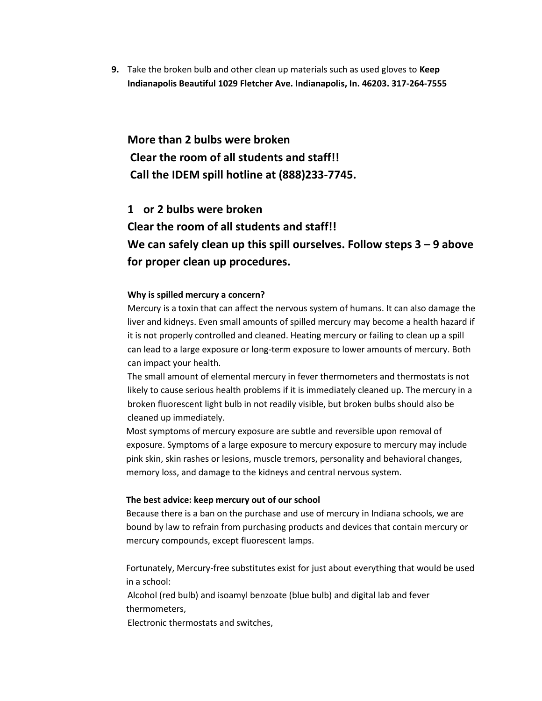**9.** Take the broken bulb and other clean up materials such as used gloves to **Keep Indianapolis Beautiful 1029 Fletcher Ave. Indianapolis, In. 46203. 317-264-7555**

**More than 2 bulbs were broken Clear the room of all students and staff!! Call the IDEM spill hotline at (888)233-7745.**

**1 or 2 bulbs were broken Clear the room of all students and staff!! We can safely clean up this spill ourselves. Follow steps 3 – 9 above for proper clean up procedures.**

#### **Why is spilled mercury a concern?**

Mercury is a toxin that can affect the nervous system of humans. It can also damage the liver and kidneys. Even small amounts of spilled mercury may become a health hazard if it is not properly controlled and cleaned. Heating mercury or failing to clean up a spill can lead to a large exposure or long-term exposure to lower amounts of mercury. Both can impact your health.

The small amount of elemental mercury in fever thermometers and thermostats is not likely to cause serious health problems if it is immediately cleaned up. The mercury in a broken fluorescent light bulb in not readily visible, but broken bulbs should also be cleaned up immediately.

Most symptoms of mercury exposure are subtle and reversible upon removal of exposure. Symptoms of a large exposure to mercury exposure to mercury may include pink skin, skin rashes or lesions, muscle tremors, personality and behavioral changes, memory loss, and damage to the kidneys and central nervous system.

#### **The best advice: keep mercury out of our school**

Because there is a ban on the purchase and use of mercury in Indiana schools, we are bound by law to refrain from purchasing products and devices that contain mercury or mercury compounds, except fluorescent lamps.

Fortunately, Mercury-free substitutes exist for just about everything that would be used in a school:

Alcohol (red bulb) and isoamyl benzoate (blue bulb) and digital lab and fever thermometers,

Electronic thermostats and switches,